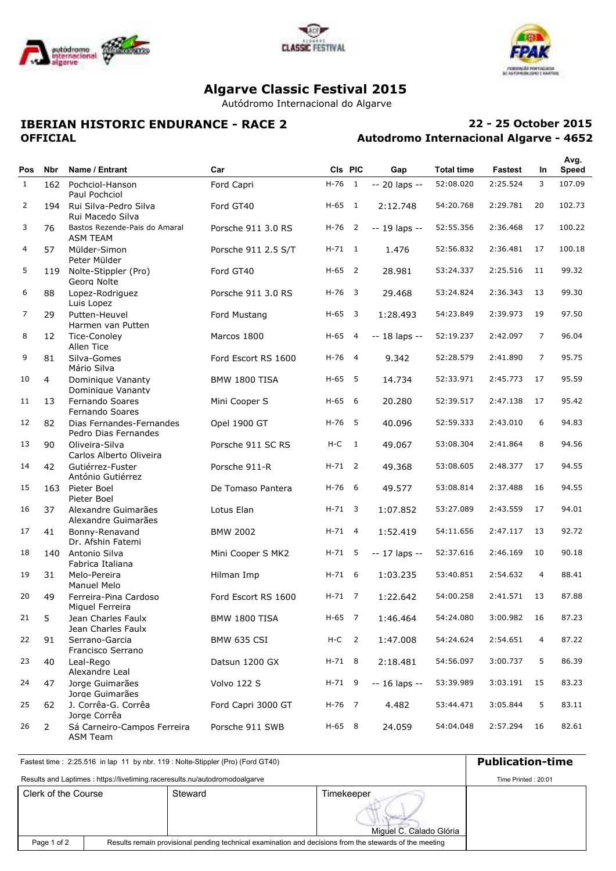





# **Algarve Classic Festival 2015**

Autódromo Internacional do Algarve

## **IBERIAN HISTORIC ENDURANCE - RACE 2 OFFICIAL**

## **Autodromo Internacional Algarve - 4652 22 - 25 October 2015**

|              |                |                                                  |                      |            |                          |                  |                   |          |                | Avg.         |
|--------------|----------------|--------------------------------------------------|----------------------|------------|--------------------------|------------------|-------------------|----------|----------------|--------------|
| <b>Pos</b>   | Nbr            | Name / Entrant                                   | Car                  |            | CIs PIC                  | Gap              | <b>Total time</b> | Fastest  | <b>In</b>      | <b>Speed</b> |
| $\mathbf{1}$ | 162            | Pochciol-Hanson<br>Paul Pochciol                 | Ford Capri           | H-76       | $\overline{1}$           | -- 20 laps --    | 52:08.020         | 2:25.524 | 3              | 107.09       |
| 2            | 194            | Rui Silva-Pedro Silva<br>Rui Macedo Silva        | Ford GT40            | $H-65$ 1   |                          | 2:12.748         | 54:20.768         | 2:29.781 | 20             | 102.73       |
| 3            | 76             | Bastos Rezende-Pais do Amaral<br><b>ASM TEAM</b> | Porsche 911 3.0 RS   | $H-76$ 2   |                          | $-19$ laps $-$   | 52:55.356         | 2:36.468 | 17             | 100.22       |
| 4            | 57             | Mülder-Simon<br>Peter Mülder                     | Porsche 911 2.5 S/T  | $H - 71$ 1 |                          | 1.476            | 52:56.832         | 2:36.481 | 17             | 100.18       |
| 5            | 119            | Nolte-Stippler (Pro)<br>Georg Nolte              | Ford GT40            | $H-65$ 2   |                          | 28.981           | 53:24.337         | 2:25.516 | 11             | 99.32        |
| 6            | 88             | Lopez-Rodriguez<br>Luis Lopez                    | Porsche 911 3.0 RS   | $H-76$ 3   |                          | 29.468           | 53:24.824         | 2:36.343 | 13             | 99.30        |
| 7            | 29             | Putten-Heuvel<br>Harmen van Putten               | Ford Mustang         | $H - 65$ 3 |                          | 1:28.493         | 54:23.849         | 2:39.973 | 19             | 97.50        |
| 8            | 12             | Tice-Conoley<br>Allen Tice                       | Marcos 1800          | $H-65$ 4   |                          | $- 18$ laps $- $ | 52:19.237         | 2:42.097 | 7              | 96.04        |
| 9            | 81             | Silva-Gomes<br>Mário Silva                       | Ford Escort RS 1600  | $H-76$ 4   |                          | 9.342            | 52:28.579         | 2:41.890 | 7              | 95.75        |
| 10           | $\overline{4}$ | Dominique Vananty<br>Dominique Vananty           | <b>BMW 1800 TISA</b> | H-65       | - 5                      | 14.734           | 52:33.971         | 2:45.773 | 17             | 95.59        |
| 11           | 13             | Fernando Soares<br>Fernando Soares               | Mini Cooper S        | $H-65$ 6   |                          | 20.280           | 52:39.517         | 2:47.138 | 17             | 95.42        |
| 12           | 82             | Dias Fernandes-Fernandes<br>Pedro Dias Fernandes | Opel 1900 GT         | H-76       | - 5                      | 40.096           | 52:59.333         | 2:43.010 | 6              | 94.83        |
| 13           | 90             | Oliveira-Silva<br>Carlos Alberto Oliveira        | Porsche 911 SC RS    | H-C        | $\overline{1}$           | 49.067           | 53:08.304         | 2:41.864 | 8              | 94.56        |
| 14           | 42             | Gutiérrez-Fuster<br>António Gutiérrez            | Porsche 911-R        | $H - 71$ 2 |                          | 49.368           | 53:08.605         | 2:48.377 | 17             | 94.55        |
| 15           | 163            | Pieter Boel<br>Pieter Boel                       | De Tomaso Pantera    | $H-76$ 6   |                          | 49.577           | 53:08.814         | 2:37.488 | 16             | 94.55        |
| 16           | 37             | Alexandre Guimarães<br>Alexandre Guimarães       | Lotus Elan           | $H - 71$ 3 |                          | 1:07.852         | 53:27.089         | 2:43.559 | 17             | 94.01        |
| 17           | 41             | Bonny-Renavand<br>Dr. Afshin Fatemi              | <b>BMW 2002</b>      | $H - 71$ 4 |                          | 1:52.419         | 54:11.656         | 2:47.117 | 13             | 92.72        |
| 18           | 140            | Antonio Silva<br>Fabrica Italiana                | Mini Cooper S MK2    | $H - 71$ 5 |                          | -- 17 laps --    | 52:37.616         | 2:46.169 | 10             | 90.18        |
| 19           | 31             | Melo-Pereira<br>Manuel Melo                      | Hilman Imp           | $H-71$ 6   |                          | 1:03.235         | 53:40.851         | 2:54.632 | $\overline{4}$ | 88.41        |
| 20           | 49             | Ferreira-Pina Cardoso<br>Miguel Ferreira         | Ford Escort RS 1600  | $H - 71$ 7 |                          | 1:22.642         | 54:00.258         | 2:41.571 | 13             | 87.88        |
| 21           | 5              | Jean Charles Faulx<br>Jean Charles Faulx         | <b>BMW 1800 TISA</b> | H-65 7     |                          | 1:46.464         | 54:24.080         | 3:00.982 | 16             | 87.23        |
| 22           | 91             | Serrano-Garcia<br>Francisco Serrano              | <b>BMW 635 CSI</b>   | $H-C$      | $\overline{\phantom{0}}$ | 1:47.008         | 54:24.624         | 2:54.651 | 4              | 87.22        |
| 23           | 40             | Leal-Rego<br>Alexandre Leal                      | Datsun 1200 GX       | $H-71$ 8   |                          | 2:18.481         | 54:56.097         | 3:00.737 | 5              | 86.39        |
| 24           | 47             | Jorge Guimarães<br>Jorge Guimarães               | Volvo 122 S          | H-71 9     |                          | -- 16 laps --    | 53:39.989         | 3:03.191 | 15             | 83.23        |
| 25           | 62             | J. Corrêa-G. Corrêa<br>Jorge Corrêa              | Ford Capri 3000 GT   | H-76 7     |                          | 4.482            | 53:44.471         | 3:05.844 | 5              | 83.11        |
| 26           | $\overline{2}$ | Sá Carneiro-Campos Ferreira<br><b>ASM Team</b>   | Porsche 911 SWB      | $H-65$ 8   |                          | 24.059           | 54:04.048         | 2:57.294 | 16             | 82.61        |

Clerk of the Course Steward Steward Steward Steward Steward Steward Steward Steward Steward Steward Steward Steward Fastest time : 2:25.516 in lap 11 by nbr. 119 : Nolte-Stippler (Pro) (Ford GT40) **Publication-time** Results and Laptimes : https://livetiming.raceresults.nu/autodromodoalgarve Results remain provisional pending technical examination and decisions from the stewards of the meeting Miguel C. Calado Glória Page 1 of 2 Time Printed : 20:01